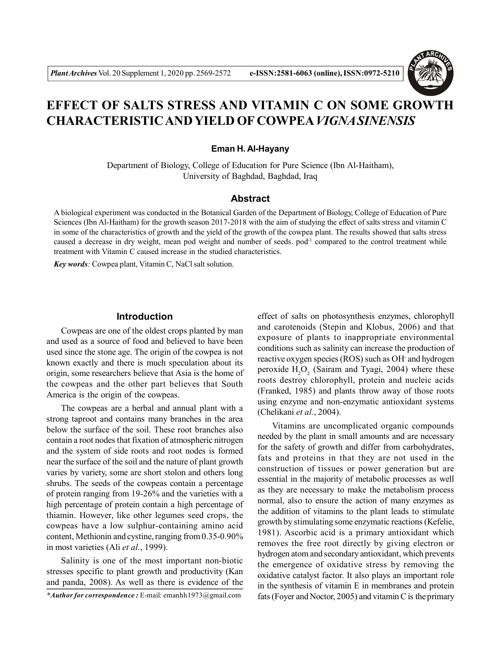

# **EFFECT OF SALTS STRESS AND VITAMIN C ON SOME GROWTH CHARACTERISTIC AND YIELD OF COWPEA***VIGNA SINENSIS*

#### **Eman H. Al-Hayany**

Department of Biology, College of Education for Pure Science (Ibn Al-Haitham), University of Baghdad, Baghdad, Iraq

# **Abstract**

A biological experiment was conducted in the Botanical Garden of the Department of Biology, College of Education of Pure Sciences (Ibn Al-Haitham) for the growth season 2017-2018 with the aim of studying the effect of salts stress and vitamin C in some of the characteristics of growth and the yield of the growth of the cowpea plant. The results showed that salts stress caused a decrease in dry weight, mean pod weight and number of seeds. pod<sup>-1</sup> compared to the control treatment while treatment with Vitamin C caused increase in the studied characteristics.

*Key words:* Cowpea plant, Vitamin C, NaCl salt solution.

#### **Introduction**

Cowpeas are one of the oldest crops planted by man and used as a source of food and believed to have been used since the stone age. The origin of the cowpea is not known exactly and there is much speculation about its origin, some researchers believe that Asia is the home of the cowpeas and the other part believes that South America is the origin of the cowpeas.

The cowpeas are a herbal and annual plant with a strong taproot and contains many branches in the area below the surface of the soil. These root branches also contain a root nodes that fixation of atmospheric nitrogen and the system of side roots and root nodes is formed near the surface of the soil and the nature of plant growth varies by variety, some are short stolon and others long shrubs. The seeds of the cowpeas contain a percentage of protein ranging from 19-26% and the varieties with a high percentage of protein contain a high percentage of thiamin. However, like other legumes seed crops, the cowpeas have a low sulphur-containing amino acid content, Methionin and cystine, ranging from 0.35-0.90% in most varieties (Ali *et al.*, 1999).

Salinity is one of the most important non-biotic stresses specific to plant growth and productivity (Kan and panda, 2008). As well as there is evidence of the effect of salts on photosynthesis enzymes, chlorophyll and carotenoids (Stepin and Klobus, 2006) and that exposure of plants to inappropriate environmental conditions such as salinity can increase the production of reactive oxygen species (ROS) such as OH- and hydrogen peroxide  $H_2O_2$  (Sairam and Tyagi, 2004) where these roots destroy chlorophyll, protein and nucleic acids (Franked, 1985) and plants throw away of those roots using enzyme and non-enzymatic antioxidant systems (Chelikani *et al.*, 2004).

Vitamins are uncomplicated organic compounds needed by the plant in small amounts and are necessary for the safety of growth and differ from carbohydrates, fats and proteins in that they are not used in the construction of tissues or power generation but are essential in the majority of metabolic processes as well as they are necessary to make the metabolism process normal, also to ensure the action of many enzymes as the addition of vitamins to the plant leads to stimulate growth by stimulating some enzymatic reactions (Kefelie, 1981). Ascorbic acid is a primary antioxidant which removes the free root directly by giving electron or hydrogen atom and secondary antioxidant, which prevents the emergence of oxidative stress by removing the oxidative catalyst factor. It also plays an important role in the synthesis of vitamin E in membranes and protein fats (Foyer and Noctor, 2005) and vitamin C is the primary

*<sup>\*</sup>Author for correspondence :* E-mail: emanhh1973@gmail.com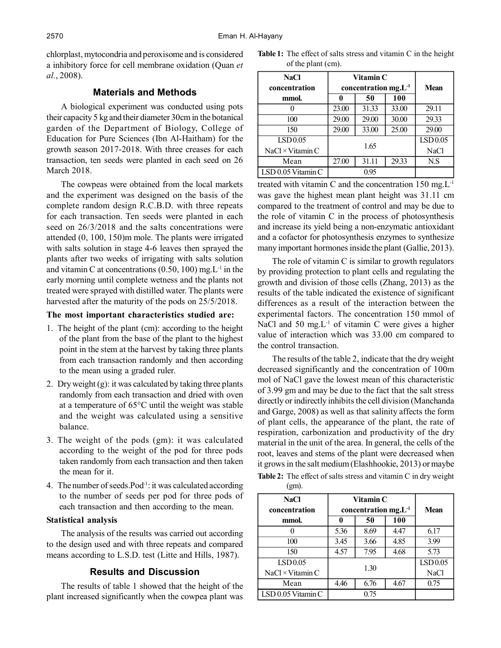chlorplast, mytocondria and peroxisome and is considered a inhibitory force for cell membrane oxidation (Quan *et al.*, 2008).

## **Materials and Methods**

A biological experiment was conducted using pots their capacity 5 kg and their diameter 30cm in the botanical garden of the Department of Biology, College of Education for Pure Sciences (Ibn Al-Haitham) for the growth season 2017-2018. With three creases for each transaction, ten seeds were planted in each seed on 26 March 2018.

The cowpeas were obtained from the local markets and the experiment was designed on the basis of the complete random design R.C.B.D. with three repeats for each transaction. Ten seeds were planted in each seed on 26/3/2018 and the salts concentrations were attended (0, 100, 150)m mole. The plants were irrigated with salts solution in stage 4-6 leaves then sprayed the plants after two weeks of irrigating with salts solution and vitamin C at concentrations  $(0.50, 100)$  mg. L<sup>-1</sup> in the early morning until complete wetness and the plants not treated were sprayed with distilled water. The plants were harvested after the maturity of the pods on 25/5/2018.

## **The most important characteristics studied are:**

- 1. The height of the plant (cm): according to the height of the plant from the base of the plant to the highest point in the stem at the harvest by taking three plants from each transaction randomly and then according to the mean using a graded ruler.
- 2. Dry weight (g): it was calculated by taking three plants randomly from each transaction and dried with oven at a temperature of 65°C until the weight was stable and the weight was calculated using a sensitive balance.
- 3. The weight of the pods (gm): it was calculated according to the weight of the pod for three pods taken randomly from each transaction and then taken the mean for it.
- 4. The number of seeds. Pod<sup>-1</sup>: it was calculated according to the number of seeds per pod for three pods of each transaction and then according to the mean.

#### **Statistical analysis**

The analysis of the results was carried out according to the design used and with three repeats and compared means according to L.S.D. test (Litte and Hills, 1987).

# **Results and Discussion**

The results of table 1 showed that the height of the plant increased significantly when the cowpea plant was

| <b>Table 1:</b> The effect of salts stress and vitamin C in the height |  |
|------------------------------------------------------------------------|--|
| of the plant (cm).                                                     |  |

| NaCl<br>concentration    | Vitamin C<br>concentration $mg.L^{-1}$ | <b>Mean</b> |             |          |
|--------------------------|----------------------------------------|-------------|-------------|----------|
| mmol.                    | 0                                      | 50          | 100         |          |
|                          | 23.00                                  | 31.33       | 33.00       | 29.11    |
| 100                      | 29.00                                  | 29.00       | 30.00       | 29.33    |
| 150                      | 29.00                                  | 33.00       | 25.00       | 29.00    |
| <b>ISD0.05</b>           |                                        |             |             | LSD 0.05 |
| $NaCl \times V$ itamin C | 1.65                                   |             | <b>NaCl</b> |          |
| Mean                     | 27.00                                  | 31.11       | 29.33       | N.S      |
| $LSD$ 0.05 Vitamin C     |                                        | 095         |             |          |

treated with vitamin C and the concentration  $150 \text{ mg}$ . $L^{-1}$ was gave the highest mean plant height was 31.11 cm compared to the treatment of control and may be due to the role of vitamin C in the process of photosynthesis and increase its yield being a non-enzymatic antioxidant and a cofactor for photosynthesis enzymes to synthesize many important hormones inside the plant (Gallie, 2013).

The role of vitamin C is similar to growth regulators by providing protection to plant cells and regulating the growth and division of those cells (Zhang, 2013) as the results of the table indicated the existence of significant differences as a result of the interaction between the experimental factors. The concentration 150 mmol of NaCl and 50 mg. $L^{-1}$  of vitamin C were gives a higher value of interaction which was 33.00 cm compared to the control transaction.

The results of the table 2, indicate that the dry weight decreased significantly and the concentration of 100m mol of NaCl gave the lowest mean of this characteristic of 3.99 gm and may be due to the fact that the salt stress directly or indirectly inhibits the cell division (Manchanda and Garge, 2008) as well as that salinity affects the form of plant cells, the appearance of the plant, the rate of respiration, carbonization and productivity of the dry material in the unit of the area. In general, the cells of the root, leaves and stems of the plant were decreased when it grows in the salt medium (Elashhookie, 2013) or maybe **Table 2:** The effect of salts stress and vitamin C in dry weight

(gm).

| NaCl<br>concentration    | Vitamin C<br>concentration $mg.L^{-1}$ |      |             | Mean                |
|--------------------------|----------------------------------------|------|-------------|---------------------|
| mmol.                    | 0                                      | 50   | 100         |                     |
|                          | 5.36                                   | 8.69 | 4.47        | 6.17                |
| 100                      | 3.45                                   | 3.66 | 4.85        | 3.99                |
| 150                      | 4.57                                   | 7.95 | 4.68        | 5.73                |
| LSD 0.05                 |                                        |      |             | LSD <sub>0.05</sub> |
| $NaCl \times V$ itamin C | 1.30                                   |      | <b>NaCl</b> |                     |
| Mean                     | 4.46                                   | 6.76 | 4.67        | 0.75                |
| LSD 0.05 Vitamin C       | 0.75                                   |      |             |                     |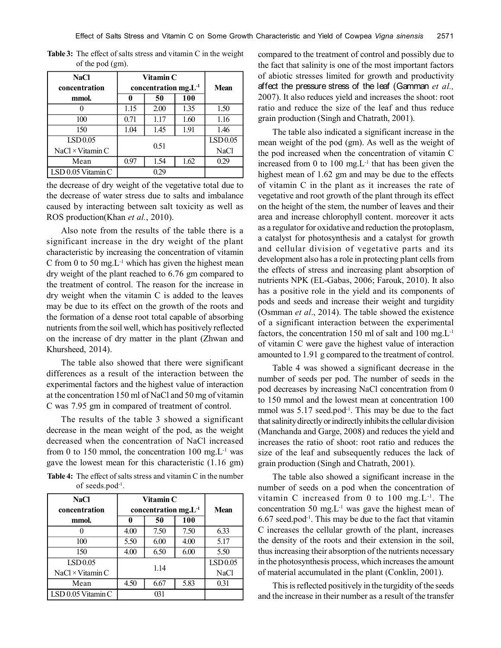| NaCl<br>concentration    | Vitamin C<br>concentration $mg.L^{-1}$ |      |             | <b>Mean</b> |  |
|--------------------------|----------------------------------------|------|-------------|-------------|--|
| mmol.                    | 0                                      | 50   | 100         |             |  |
|                          | 1.15                                   | 2.00 | 1.35        | 1.50        |  |
| 100                      | 0.71                                   | 1.17 | 1.60        | 1.16        |  |
| 150                      | 1.04                                   | 1.45 | 1.91        | 1.46        |  |
| LSD <sub>0.05</sub>      | 0.51                                   |      |             | LSD 0.05    |  |
| $NaCl \times V$ itamin C |                                        |      | <b>NaCl</b> |             |  |
| Mean                     | 0.97                                   | 1.54 | 1.62        | 0.29        |  |
| LSD 0.05 Vitamin C       | 0 29                                   |      |             |             |  |

**Table 3:** The effect of salts stress and vitamin C in the weight of the pod (gm).

the decrease of dry weight of the vegetative total due to the decrease of water stress due to salts and imbalance caused by interacting between salt toxicity as well as ROS production(Khan *et al.*, 2010).

Also note from the results of the table there is a significant increase in the dry weight of the plant characteristic by increasing the concentration of vitamin C from 0 to 50 mg. $L^{-1}$  which has given the highest mean dry weight of the plant reached to 6.76 gm compared to the treatment of control. The reason for the increase in dry weight when the vitamin C is added to the leaves may be due to its effect on the growth of the roots and the formation of a dense root total capable of absorbing nutrients from the soil well, which has positively reflected on the increase of dry matter in the plant (Zhwan and Khursheed, 2014).

The table also showed that there were significant differences as a result of the interaction between the experimental factors and the highest value of interaction at the concentration 150 ml of NaCl and 50 mg of vitamin C was 7.95 gm in compared of treatment of control.

The results of the table 3 showed a significant decrease in the mean weight of the pod, as the weight decreased when the concentration of NaCl increased from 0 to 150 mmol, the concentration 100 mg. $L^{-1}$  was gave the lowest mean for this characteristic (1.16 gm)

**Table 4:** The effect of salts stress and vitamin C in the number of seeds.pod-1 .

| <b>NaCl</b><br>concentration | Vitamin C<br>concentration $mg.L^{-1}$ |      |             | <b>Mean</b> |
|------------------------------|----------------------------------------|------|-------------|-------------|
| mmol.                        | 0                                      | 50   | 100         |             |
|                              | 4.00                                   | 7.50 | 7.50        | 6.33        |
| 100                          | 5.50                                   | 6.00 | 4.00        | 5.17        |
| 150                          | 4.00                                   | 6.50 | 6.00        | 5.50        |
| LSD0.05                      |                                        |      |             | LSD 0.05    |
| $NaCl \times V$ itamin C     | 1.14                                   |      | <b>NaCl</b> |             |
| Mean                         | 4.50                                   | 6.67 | 5.83        | 0.31        |
| $LSD$ 0.05 Vitamin C         | 031                                    |      |             |             |

compared to the treatment of control and possibly due to the fact that salinity is one of the most important factors of abiotic stresses limited for growth and productivity affect the pressure stress of the leaf (Gamman *et al.,* 2007). It also reduces yield and increases the shoot: root ratio and reduce the size of the leaf and thus reduce grain production (Singh and Chatrath, 2001).

The table also indicated a significant increase in the mean weight of the pod (gm). As well as the weight of the pod increased when the concentration of vitamin C increased from 0 to 100 mg. $L<sup>-1</sup>$  that has been given the highest mean of 1.62 gm and may be due to the effects of vitamin C in the plant as it increases the rate of vegetative and root growth of the plant through its effect on the height of the stem, the number of leaves and their area and increase chlorophyll content. moreover it acts as a regulator for oxidative and reduction the protoplasm, a catalyst for photosynthesis and a catalyst for growth and cellular division of vegetative parts and its development also has a role in protecting plant cells from the effects of stress and increasing plant absorption of nutrients NPK (EL-Gabas, 2006; Farouk, 2010). It also has a positive role in the yield and its components of pods and seeds and increase their weight and turgidity (Osmman *et al*., 2014). The table showed the existence of a significant interaction between the experimental factors, the concentration 150 ml of salt and 100 mg. $L^{-1}$ of vitamin C were gave the highest value of interaction amounted to 1.91 g compared to the treatment of control.

Table 4 was showed a significant decrease in the number of seeds per pod. The number of seeds in the pod decreases by increasing NaCl concentration from 0 to 150 mmol and the lowest mean at concentration 100 mmol was  $5.17$  seed.pod $^{-1}$ . This may be due to the fact that salinity directly or indirectly inhibits the cellular division (Manchanda and Garge, 2008) and reduces the yield and increases the ratio of shoot: root ratio and reduces the size of the leaf and subsequently reduces the lack of grain production (Singh and Chatrath, 2001).

The table also showed a significant increase in the number of seeds on a pod when the concentration of vitamin C increased from 0 to 100 mg. $L^{-1}$ . The concentration 50 mg.L-1 was gave the highest mean of  $6.67$  seed.pod<sup>-1</sup>. This may be due to the fact that vitamin C increases the cellular growth of the plant, increases the density of the roots and their extension in the soil, thus increasing their absorption of the nutrients necessary in the photosynthesis process, which increases the amount of material accumulated in the plant (Conklin, 2001).

This is reflected positively in the turgidity of the seeds and the increase in their number as a result of the transfer